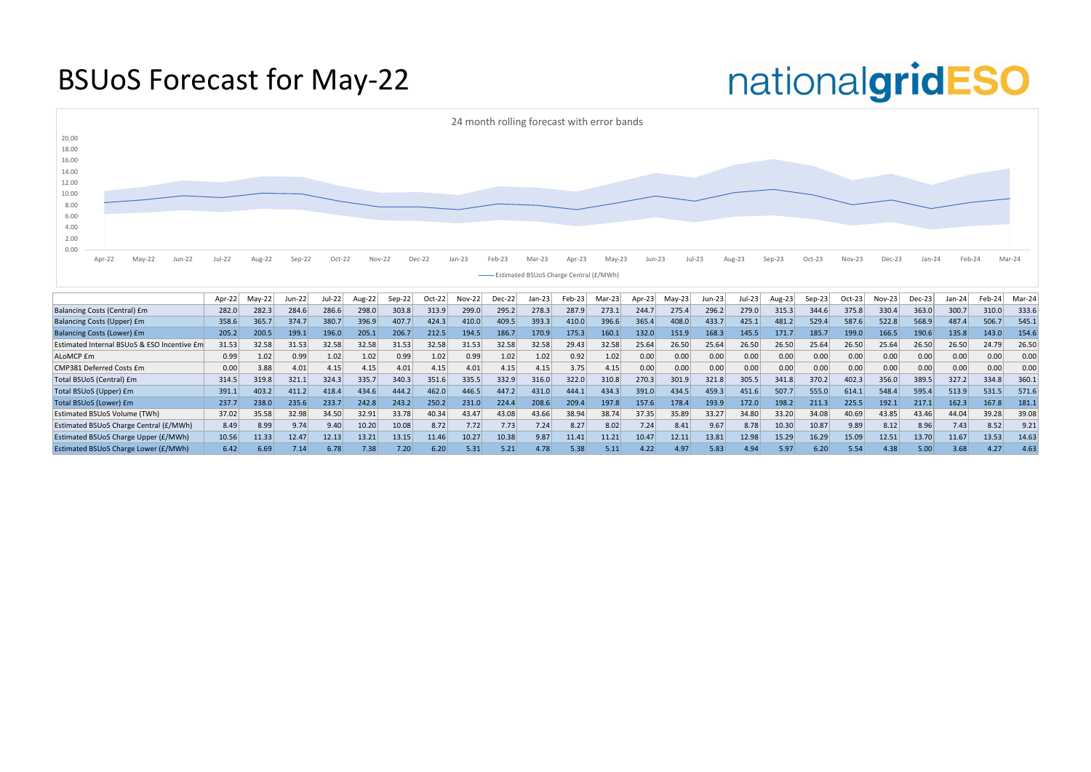#### BSUoS Forecast for May-22

|                                             | Apr-22 | Mav-22 | Jun-22 | Jul-22 | Aug-22 | $Sep-22$ | Oct-22 | $Nov-22$ | $Dec-22$ | $Jan-23$ | Feb-23 | $Mar-23$ | Apr-23 | $M$ ay-23 | Jun-23 | $Jul-23$ | Aug-23 | Sep-23 | $Oct-23$ | $Nov-23$ | $Dec-23$ | Jan-24 | Feb-24 | Mar-24 |
|---------------------------------------------|--------|--------|--------|--------|--------|----------|--------|----------|----------|----------|--------|----------|--------|-----------|--------|----------|--------|--------|----------|----------|----------|--------|--------|--------|
| Balancing Costs (Central) £m                | 282.0  | 282.3  | 284.6  | 286.6  | 298.0  | 303.8    | 313.9  | 299.0    | 295.2    | 278.3    | 287.9  | 273.1    | 244.7  | 275.4     | 296.2  | 279.0    | 315.3  | 344.6  | 375.8    | 330.4    | 363.0    | 300.7  | 310.0  | 333.6  |
| <b>Balancing Costs (Upper) £m</b>           | 358.6  | 365.7  | 374.7  | 380.7  | 396.9  | 407.7    | 424.3  | 410.0    | 409.5    | 393.3    | 410.0  | 396.6    | 365.4  | 408.0     | 433.7  | 425.1    | 481.2  | 529.4  | 587.6    | 522.8    | 568.9    | 487.4  | 506.7  | 545.1  |
| <b>Balancing Costs (Lower) £m</b>           | 205.2  | 200.5  | 199.1  | 196.0  | 205.1  | 206.7    | 212.5  | 194.5    | 186.7    | 170.9    | 175.3  | 160.1    | 132.0  | 151.9     | 168.3  | 145.5    | 171.7  | 185.7  | 199.0    | 166.5    | 190.6    | 135.8  | 143.0  | 154.6  |
| Estimated Internal BSUoS & ESO Incentive £m | 31.53  | 32.58  | 31.53  | 32.58  | 32.58  | 31.53    | 32.58  | 31.53    | 32.58    | 32.58    | 29.43  | 32.58    | 25.64  | 26.50     | 25.64  | 26.50    | 26.50  | 25.64  | 26.50    | 25.64    | 26.50    | 26.50  | 24.79  | 26.50  |
| ALoMCP £m                                   | 0.99   | 1.02   | 0.99   | 1.02   | 1.02   | 0.99     | 1.02   | 0.99     | 1.02     | 1.02     | 0.92   | 1.02     | 0.00   | 0.00      | 0.00   | 0.00     | 0.00   | 0.00   | 0.00     | 0.00     | 0.00     | 0.00   | 0.00   | 0.00   |
| CMP381 Deferred Costs £m                    | 0.00   | 3.88   | 4.01   | 4.15   | 4.15   | 4.01     | 4.15   | 4.01     | 4.15     | 4.15     | 3.75   | 4.15     | 0.00   | 0.00      | 0.00   | 0.00     | 0.00   | 0.00   | 0.00     | 0.00     | 0.00     | 0.00   | 0.00   | 0.00   |
| Total BSUoS (Central) £m                    | 314.5  | 319.8  | 321.1  | 324.3  | 335.7  | 340.3    | 351.6  | 335.5    | 332.9    | 316.0    | 322.0  | 310.8    | 270.3  | 301.9     | 321.8  | 305.5    | 341.8  | 370.2  | 402.3    | 356.0    | 389.5    | 327.2  | 334.8  | 360.1  |
| Total BSUoS (Upper) £m                      | 391.1  | 403.2  | 411.2  | 418.4  | 434.6  | 444.2    | 462.0  | 446.5    | 447.2    | 431.0    | 444.1  | 434.3    | 391.0  | 434.5     | 459.3  | 451.6    | 507.7  | 555.0  | 614.2    | 548.4    | 595.4    | 513.9  | 531.5  | 571.6  |
| Total BSUoS (Lower) £m                      | 237.7  | 238.0  | 235.6  | 233.7  | 242.8  | 243.2    | 250.2  | 231.0    | 224.4    | 208.6    | 209.4  | 197.8    | 157.6  | 178.4     | 193.9  | 172.0    | 198.2  | 211.3  | 225.5    | 192.1    | 217.1    | 162.3  | 167.8  | 181.1  |
| <b>Estimated BSUoS Volume (TWh)</b>         | 37.02  | 35.58  | 32.98  | 34.50  | 32.91  | 33.78    | 40.34  | 43.47    | 43.08    | 43.66    | 38.94  | 38.74    | 37.35  | 35.89     | 33.27  | 34.80    | 33.20  | 34.08  | 40.69    | 43.85    | 43.46    | 44.04  | 39.28  | 39.08  |
| Estimated BSUoS Charge Central (£/MWh)      | 8.49   | 8.99   | 9.74   | 9.40   | 10.20  | 10.08    | 8.72   | 7.72     | 7.73     | 7.24     | 8.27   | 8.02     | 7.24   | 8.41      | 9.67   | 8.78     | 10.30  | 10.87  | 9.89     | 8.12     | 8.96     | 7.43   | 8.52   | 9.21   |
| Estimated BSUoS Charge Upper (£/MWh)        | 10.56  | 11.33  | 12.47  | 12.13  | 13.21  | 13.15    | 11.46  | 10.27    | 10.38    | 9.87     | 11.41  | 11.21    | 10.47  | 12.11     | 13.81  | 12.98    | 15.29  | 16.29  | 15.09    | 12.51    | 13.70    | 11.67  | 13.53  | 14.63  |
| Estimated BSUoS Charge Lower (£/MWh)        | 6.42   | 6.69   | 7.14   | 6.78   | 7.38   | 7.20     | 6.20   | 5.31     | 5.21     | 4.78     | 5.38   | 5.11     | 4.22   | 4.97      | 5.83   | 4.94     | 5.97   | 6.20   | 5.54     | 4.38     | 5.00     | 3.68   | 4.27   | 4.63   |

### nationalgridESO

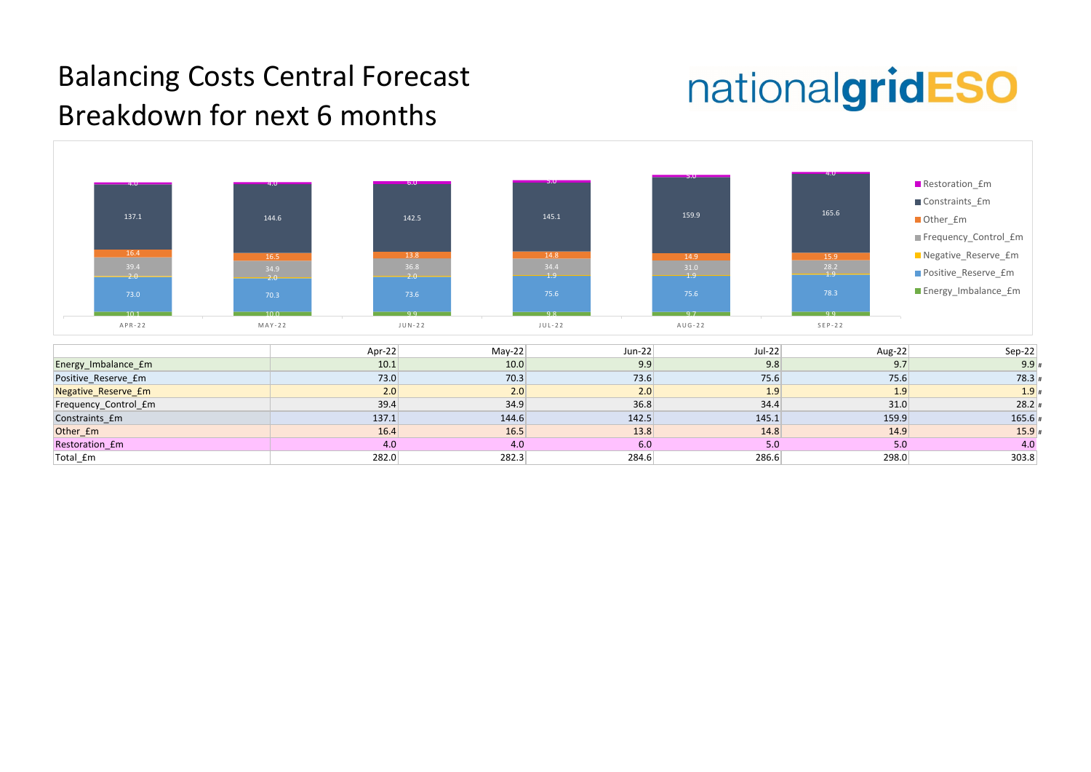

| $Sep-22$ | Aug-22 |
|----------|--------|
| $9.9*$   | 9.7    |
| $78.3*$  | 75.6   |
| $1.9*$   | 1.9    |
| $28.2*$  | 31.0   |
| $165.6*$ | 159.9  |
| $15.9*$  | 14.9   |
| 4.0      | 5.0    |
| 303.8    | 298.0  |

#### Balancing Costs Central Forecast Breakdown for next 6 months

## nationalgridESO